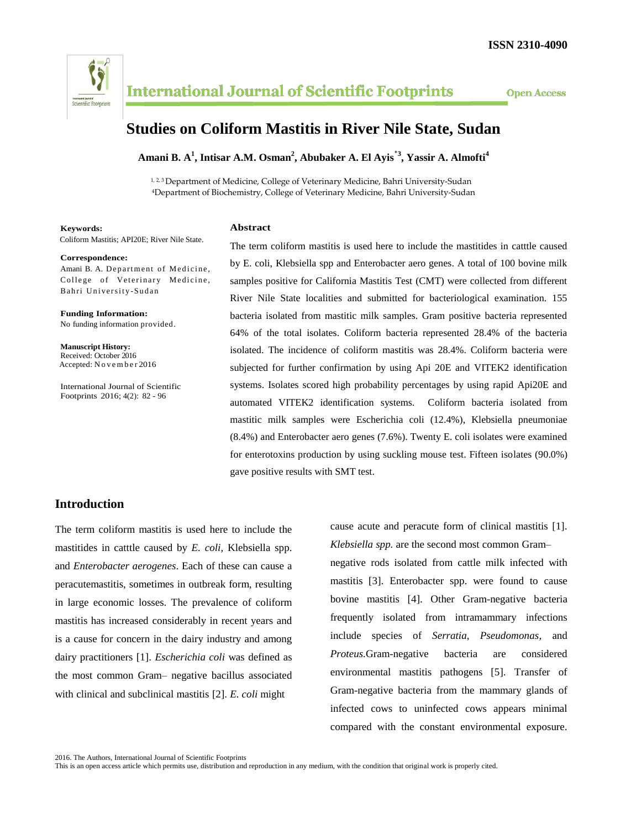

# **Studies on Coliform Mastitis in River Nile State, Sudan**

**Amani B. A<sup>1</sup> , Intisar A.M. Osman<sup>2</sup> , Abubaker A. El Ayis٭3 , Yassir A. Almofti<sup>4</sup>**

1, 2, 3 Department of Medicine, College of Veterinary Medicine, Bahri University-Sudan <sup>4</sup>Department of Biochemistry, College of Veterinary Medicine, Bahri University-Sudan

#### **Keywords:**

Coliform Mastitis; API20E; River Nile State.

#### **Correspondence:**

Amani B. A. Department of Medicine, College of Veterinary Medicine, Bahri University-Sudan

**Funding Information:** No funding information provided.

**Manuscript History:** Received: October 2016 Accepted: N o v e m b e r 2016

International Journal of Scientific Footprints 2016; 4(2): 82 - 96

### **Abstract**

The term coliform mastitis is used here to include the mastitides in catttle caused by E. coli, Klebsiella spp and Enterobacter aero genes. A total of 100 bovine milk samples positive for California Mastitis Test (CMT) were collected from different River Nile State localities and submitted for bacteriological examination. 155 bacteria isolated from mastitic milk samples. Gram positive bacteria represented 64% of the total isolates. Coliform bacteria represented 28.4% of the bacteria isolated. The incidence of coliform mastitis was 28.4%. Coliform bacteria were subjected for further confirmation by using Api 20E and VITEK2 identification systems. Isolates scored high probability percentages by using rapid Api20E and automated VITEK2 identification systems. Coliform bacteria isolated from mastitic milk samples were Escherichia coli (12.4%), Klebsiella pneumoniae (8.4%) and Enterobacter aero genes (7.6%). Twenty E. coli isolates were examined for enterotoxins production by using suckling mouse test. Fifteen isolates (90.0%) gave positive results with SMT test.

## **Introduction**

The term coliform mastitis is used here to include the mastitides in catttle caused by *E. coli,* Klebsiella spp. and *Enterobacter aerogenes*. Each of these can cause a peracutemastitis, sometimes in outbreak form, resulting in large economic losses. The prevalence of coliform mastitis has increased considerably in recent years and is a cause for concern in the dairy industry and among dairy practitioners [1]. *Escherichia coli* was defined as the most common Gram– negative bacillus associated with clinical and subclinical mastitis [2]. *E. coli* might

cause acute and peracute form of clinical mastitis [1]. *Klebsiella spp.* are the second most common Gram–

negative rods isolated from cattle milk infected with mastitis [3]. Enterobacter spp. were found to cause bovine mastitis [4]. Other Gram-negative bacteria frequently isolated from intramammary infections include species of *Serratia, Pseudomonas,* and *Proteus.*Gram-negative bacteria are considered environmental mastitis pathogens [5]. Transfer of Gram-negative bacteria from the mammary glands of infected cows to uninfected cows appears minimal compared with the constant environmental exposure.

This is an open access article which permits use, distribution and reproduction in any medium, with the condition that original work is properly cited.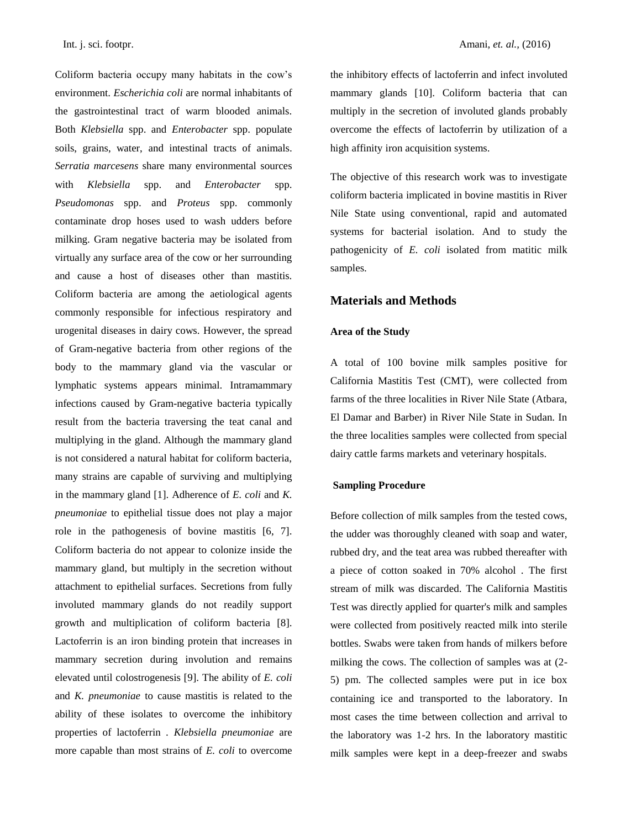Coliform bacteria occupy many habitats in the cow's environment. *Escherichia coli* are normal inhabitants of the gastrointestinal tract of warm blooded animals. Both *Klebsiella* spp. and *Enterobacter* spp. populate soils, grains, water, and intestinal tracts of animals. *Serratia marcesens* share many environmental sources with *Klebsiella* spp. and *Enterobacter* spp. *Pseudomonas* spp. and *Proteus* spp. commonly contaminate drop hoses used to wash udders before milking. Gram negative bacteria may be isolated from virtually any surface area of the cow or her surrounding and cause a host of diseases other than mastitis. Coliform bacteria are among the aetiological agents commonly responsible for infectious respiratory and urogenital diseases in dairy cows. However, the spread of Gram-negative bacteria from other regions of the body to the mammary gland via the vascular or lymphatic systems appears minimal. Intramammary infections caused by Gram-negative bacteria typically result from the bacteria traversing the teat canal and multiplying in the gland. Although the mammary gland is not considered a natural habitat for coliform bacteria, many strains are capable of surviving and multiplying in the mammary gland [1]. Adherence of *E. coli* and *K. pneumoniae* to epithelial tissue does not play a major role in the pathogenesis of bovine mastitis [6, 7]. Coliform bacteria do not appear to colonize inside the mammary gland, but multiply in the secretion without attachment to epithelial surfaces. Secretions from fully involuted mammary glands do not readily support growth and multiplication of coliform bacteria [8]. Lactoferrin is an iron binding protein that increases in mammary secretion during involution and remains elevated until colostrogenesis [9]. The ability of *E. coli*  and *K. pneumoniae* to cause mastitis is related to the ability of these isolates to overcome the inhibitory properties of lactoferrin . *Klebsiella pneumoniae* are more capable than most strains of *E. coli* to overcome the inhibitory effects of lactoferrin and infect involuted mammary glands [10]. Coliform bacteria that can multiply in the secretion of involuted glands probably overcome the effects of lactoferrin by utilization of a high affinity iron acquisition systems.

The objective of this research work was to investigate coliform bacteria implicated in bovine mastitis in River Nile State using conventional, rapid and automated systems for bacterial isolation. And to study the pathogenicity of *E. coli* isolated from matitic milk samples.

## **Materials and Methods**

### **Area of the Study**

A total of 100 bovine milk samples positive for California Mastitis Test (CMT), were collected from farms of the three localities in River Nile State (Atbara, El Damar and Barber) in River Nile State in Sudan. In the three localities samples were collected from special dairy cattle farms markets and veterinary hospitals.

#### **Sampling Procedure**

Before collection of milk samples from the tested cows, the udder was thoroughly cleaned with soap and water, rubbed dry, and the teat area was rubbed thereafter with a piece of cotton soaked in 70% alcohol . The first stream of milk was discarded. The California Mastitis Test was directly applied for quarter's milk and samples were collected from positively reacted milk into sterile bottles. Swabs were taken from hands of milkers before milking the cows. The collection of samples was at (2- 5) pm. The collected samples were put in ice box containing ice and transported to the laboratory. In most cases the time between collection and arrival to the laboratory was 1-2 hrs. In the laboratory mastitic milk samples were kept in a deep-freezer and swabs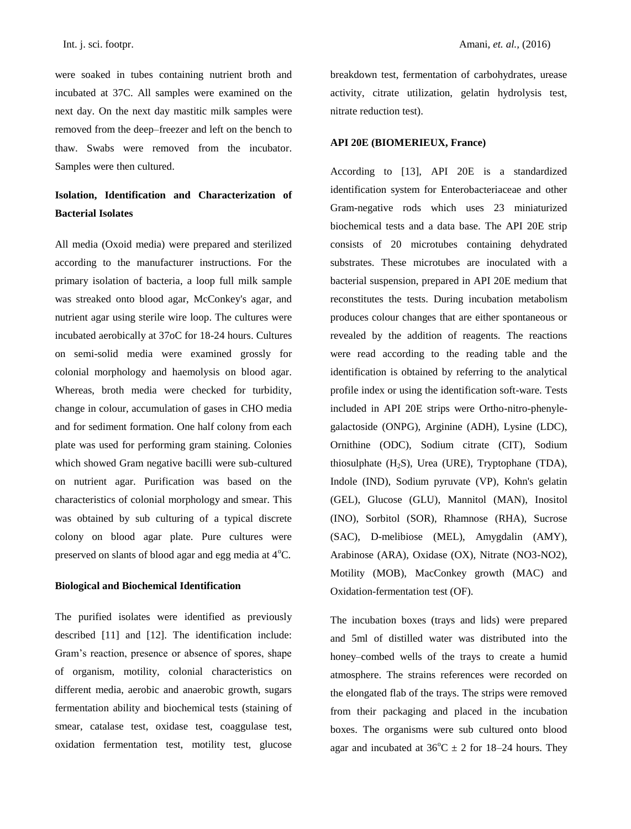Int. j. sci. footpr. Amani, *et. al.,* (2016)

were soaked in tubes containing nutrient broth and incubated at 37C. All samples were examined on the next day. On the next day mastitic milk samples were removed from the deep–freezer and left on the bench to thaw. Swabs were removed from the incubator. Samples were then cultured.

## **Isolation, Identification and Characterization of Bacterial Isolates**

All media (Oxoid media) were prepared and sterilized according to the manufacturer instructions. For the primary isolation of bacteria, a loop full milk sample was streaked onto blood agar, McConkey's agar, and nutrient agar using sterile wire loop. The cultures were incubated aerobically at 37oC for 18-24 hours. Cultures on semi-solid media were examined grossly for colonial morphology and haemolysis on blood agar. Whereas, broth media were checked for turbidity, change in colour, accumulation of gases in CHO media and for sediment formation. One half colony from each plate was used for performing gram staining. Colonies which showed Gram negative bacilli were sub-cultured on nutrient agar. Purification was based on the characteristics of colonial morphology and smear. This was obtained by sub culturing of a typical discrete colony on blood agar plate. Pure cultures were preserved on slants of blood agar and egg media at  $4^{\circ}C$ .

### **Biological and Biochemical Identification**

The purified isolates were identified as previously described [11] and [12]. The identification include: Gram's reaction, presence or absence of spores, shape of organism, motility, colonial characteristics on different media, aerobic and anaerobic growth, sugars fermentation ability and biochemical tests (staining of smear, catalase test, oxidase test, coaggulase test, oxidation fermentation test, motility test, glucose

breakdown test, fermentation of carbohydrates, urease activity, citrate utilization, gelatin hydrolysis test, nitrate reduction test).

### **API 20E (BIOMERIEUX, France)**

According to [13], API 20E is a standardized identification system for Enterobacteriaceae and other Gram-negative rods which uses 23 miniaturized biochemical tests and a data base. The API 20E strip consists of 20 microtubes containing dehydrated substrates. These microtubes are inoculated with a bacterial suspension, prepared in API 20E medium that reconstitutes the tests. During incubation metabolism produces colour changes that are either spontaneous or revealed by the addition of reagents. The reactions were read according to the reading table and the identification is obtained by referring to the analytical profile index or using the identification soft-ware. Tests included in API 20E strips were Ortho-nitro-phenylegalactoside (ONPG), Arginine (ADH), Lysine (LDC), Ornithine (ODC), Sodium citrate (CIT), Sodium thiosulphate  $(H_2S)$ , Urea (URE), Tryptophane (TDA), Indole (IND), Sodium pyruvate (VP), Kohn's gelatin (GEL), Glucose (GLU), Mannitol (MAN), Inositol (INO), Sorbitol (SOR), Rhamnose (RHA), Sucrose (SAC), D-melibiose (MEL), Amygdalin (AMY), Arabinose (ARA), Oxidase (OX), Nitrate (NO3-NO2), Motility (MOB), MacConkey growth (MAC) and Oxidation-fermentation test (OF).

The incubation boxes (trays and lids) were prepared and 5ml of distilled water was distributed into the honey–combed wells of the trays to create a humid atmosphere. The strains references were recorded on the elongated flab of the trays. The strips were removed from their packaging and placed in the incubation boxes. The organisms were sub cultured onto blood agar and incubated at  $36^{\circ}\text{C} \pm 2$  for 18–24 hours. They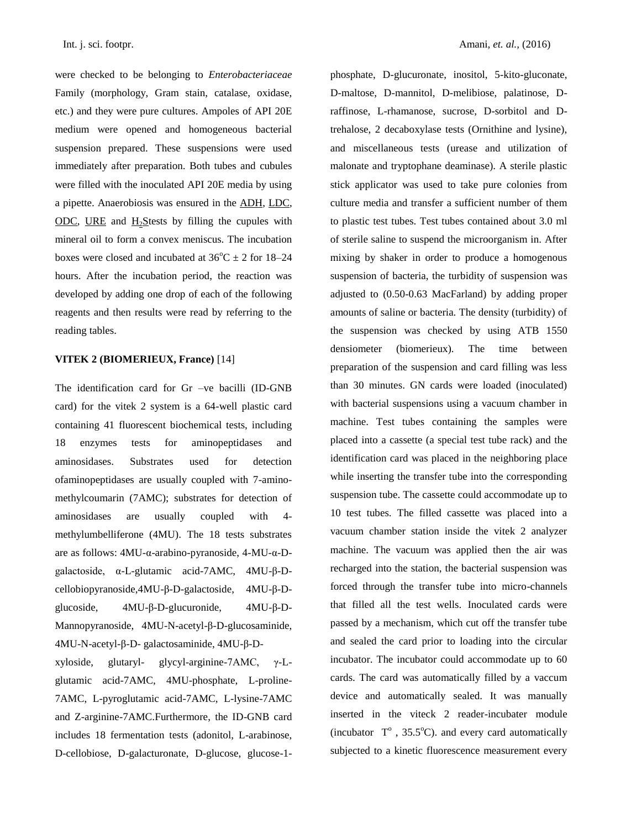were checked to be belonging to *Enterobacteriaceae* Family (morphology, Gram stain, catalase, oxidase, etc.) and they were pure cultures. Ampoles of API 20E medium were opened and homogeneous bacterial suspension prepared. These suspensions were used immediately after preparation. Both tubes and cubules were filled with the inoculated API 20E media by using a pipette. Anaerobiosis was ensured in the ADH, LDC, ODC, URE and  $H_2$ Stests by filling the cupules with mineral oil to form a convex meniscus. The incubation boxes were closed and incubated at  $36^{\circ}$ C  $\pm$  2 for 18–24 hours. After the incubation period, the reaction was developed by adding one drop of each of the following reagents and then results were read by referring to the reading tables.

### **VITEK 2 (BIOMERIEUX, France)** [14]

The identification card for Gr –ve bacilli (ID-GNB card) for the vitek 2 system is a 64-well plastic card containing 41 fluorescent biochemical tests, including 18 enzymes tests for aminopeptidases and aminosidases. Substrates used for detection ofaminopeptidases are usually coupled with 7-aminomethylcoumarin (7AMC); substrates for detection of aminosidases are usually coupled with 4 methylumbelliferone (4MU). The 18 tests substrates are as follows: 4MU-α-arabino-pyranoside, 4-MU-α-Dgalactoside, α-L-glutamic acid-7AMC, 4MU-β-Dcellobiopyranoside,4MU-β-D-galactoside, 4MU-β-Dglucoside, 4MU-β-D-glucuronide, 4MU-β-D-Mannopyranoside, 4MU-N-acetyl-β-D-glucosaminide, 4MU-N-acetyl-β-D- galactosaminide, 4MU-β-D-

xyloside, glutaryl- glycyl-arginine-7AMC, γ-Lglutamic acid-7AMC, 4MU-phosphate, L-proline-7AMC, L-pyroglutamic acid-7AMC, L-lysine-7AMC and Z-arginine-7AMC.Furthermore, the ID-GNB card includes 18 fermentation tests (adonitol, L-arabinose, D-cellobiose, D-galacturonate, D-glucose, glucose-1phosphate, D-glucuronate, inositol, 5-kito-gluconate, D-maltose, D-mannitol, D-melibiose, palatinose, Draffinose, L-rhamanose, sucrose, D-sorbitol and Dtrehalose, 2 decaboxylase tests (Ornithine and lysine), and miscellaneous tests (urease and utilization of malonate and tryptophane deaminase). A sterile plastic stick applicator was used to take pure colonies from culture media and transfer a sufficient number of them to plastic test tubes. Test tubes contained about 3.0 ml of sterile saline to suspend the microorganism in. After mixing by shaker in order to produce a homogenous suspension of bacteria, the turbidity of suspension was adjusted to (0.50-0.63 MacFarland) by adding proper amounts of saline or bacteria. The density (turbidity) of the suspension was checked by using ATB 1550 densiometer (biomerieux). The time between preparation of the suspension and card filling was less than 30 minutes. GN cards were loaded (inoculated) with bacterial suspensions using a vacuum chamber in machine. Test tubes containing the samples were placed into a cassette (a special test tube rack) and the identification card was placed in the neighboring place while inserting the transfer tube into the corresponding suspension tube. The cassette could accommodate up to 10 test tubes. The filled cassette was placed into a vacuum chamber station inside the vitek 2 analyzer machine. The vacuum was applied then the air was recharged into the station, the bacterial suspension was forced through the transfer tube into micro-channels that filled all the test wells. Inoculated cards were passed by a mechanism, which cut off the transfer tube and sealed the card prior to loading into the circular incubator. The incubator could accommodate up to 60 cards. The card was automatically filled by a vaccum device and automatically sealed. It was manually inserted in the viteck 2 reader-incubater module (incubator  $T^{\circ}$ , 35.5°C). and every card automatically subjected to a kinetic fluorescence measurement every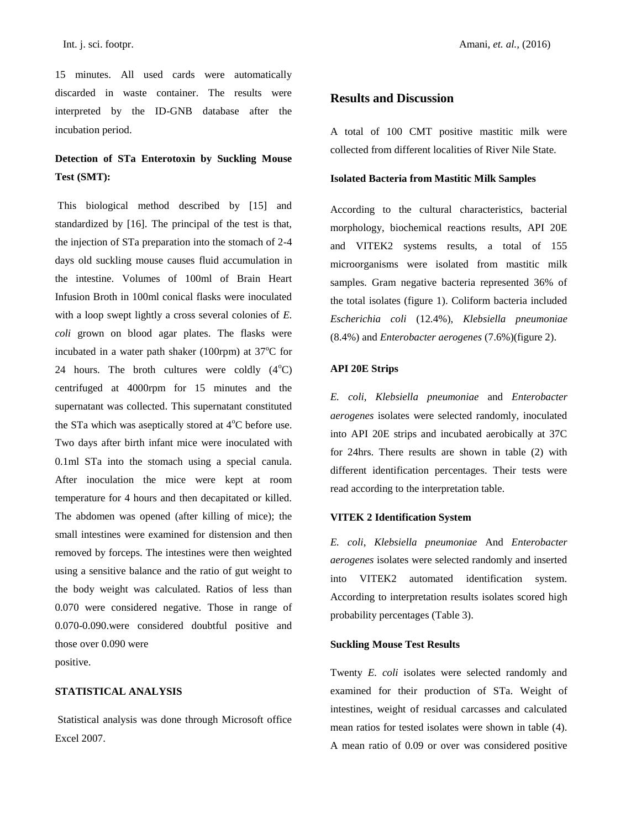15 minutes. All used cards were automatically discarded in waste container. The results were interpreted by the ID-GNB database after the incubation period.

## **Detection of STa Enterotoxin by Suckling Mouse Test (SMT):**

This biological method described by [15] and standardized by [16]. The principal of the test is that, the injection of STa preparation into the stomach of 2-4 days old suckling mouse causes fluid accumulation in the intestine. Volumes of 100ml of Brain Heart Infusion Broth in 100ml conical flasks were inoculated with a loop swept lightly a cross several colonies of *E. coli* grown on blood agar plates. The flasks were incubated in a water path shaker (100rpm) at  $37^{\circ}$ C for 24 hours. The broth cultures were coldly  $(4^{\circ}C)$ centrifuged at 4000rpm for 15 minutes and the supernatant was collected. This supernatant constituted the STa which was aseptically stored at  $4^{\circ}$ C before use. Two days after birth infant mice were inoculated with 0.1ml STa into the stomach using a special canula. After inoculation the mice were kept at room temperature for 4 hours and then decapitated or killed. The abdomen was opened (after killing of mice); the small intestines were examined for distension and then removed by forceps. The intestines were then weighted using a sensitive balance and the ratio of gut weight to the body weight was calculated. Ratios of less than 0.070 were considered negative. Those in range of 0.070-0.090.were considered doubtful positive and those over 0.090 were positive.

## **STATISTICAL ANALYSIS**

Statistical analysis was done through Microsoft office Excel 2007.

## **Results and Discussion**

A total of 100 CMT positive mastitic milk were collected from different localities of River Nile State.

### **Isolated Bacteria from Mastitic Milk Samples**

According to the cultural characteristics, bacterial morphology, biochemical reactions results, API 20E and VITEK2 systems results, a total of 155 microorganisms were isolated from mastitic milk samples. Gram negative bacteria represented 36% of the total isolates (figure 1). Coliform bacteria included *Escherichia coli* (12.4%), *Klebsiella pneumoniae*  (8.4%) and *Enterobacter aerogenes* (7.6%)(figure 2).

#### **API 20E Strips**

*E. coli*, *Klebsiella pneumoniae* and *Enterobacter aerogenes* isolates were selected randomly, inoculated into API 20E strips and incubated aerobically at 37C for 24hrs. There results are shown in table (2) with different identification percentages. Their tests were read according to the interpretation table.

### **VITEK 2 Identification System**

*E. coli*, *Klebsiella pneumoniae* And *Enterobacter aerogenes* isolates were selected randomly and inserted into VITEK2 automated identification system. According to interpretation results isolates scored high probability percentages (Table 3).

### **Suckling Mouse Test Results**

Twenty *E. coli* isolates were selected randomly and examined for their production of STa. Weight of intestines, weight of residual carcasses and calculated mean ratios for tested isolates were shown in table (4). A mean ratio of 0.09 or over was considered positive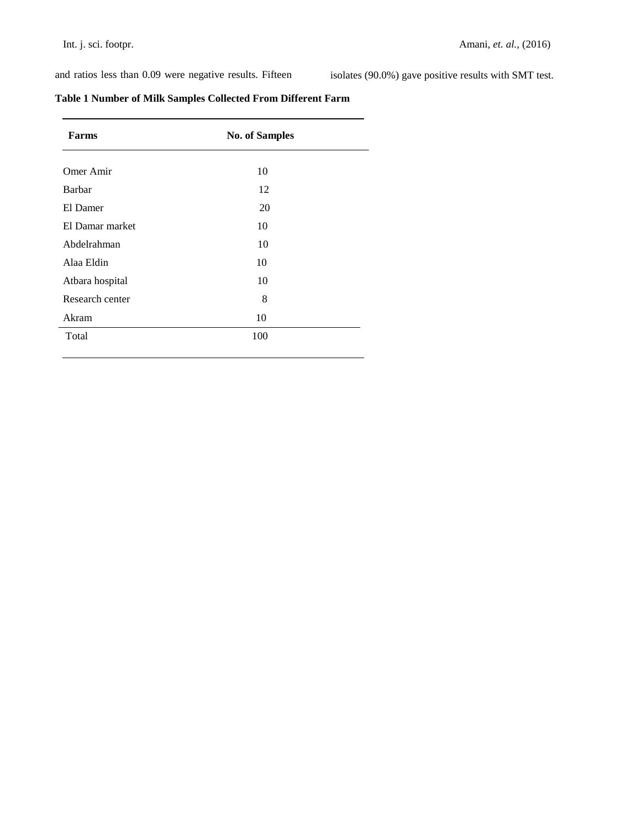and ratios less than 0.09 were negative results. Fifteen isolates (90.0%) gave positive results with SMT test.

| Table 1 Number of Milk Samples Collected From Different Farm |  |
|--------------------------------------------------------------|--|
|--------------------------------------------------------------|--|

| <b>Farms</b>    | <b>No. of Samples</b> |  |
|-----------------|-----------------------|--|
| Omer Amir       | 10                    |  |
| Barbar          | 12                    |  |
| El Damer        | 20                    |  |
| El Damar market | 10                    |  |
| Abdelrahman     | 10                    |  |
| Alaa Eldin      | 10                    |  |
| Atbara hospital | 10                    |  |
| Research center | 8                     |  |
| Akram           | 10                    |  |
| Total           | 100                   |  |
|                 |                       |  |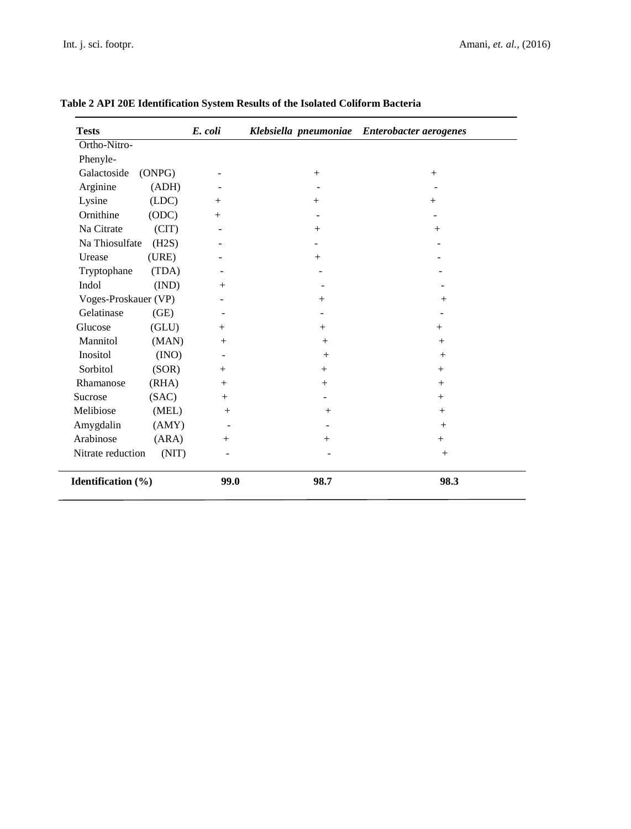| <b>Tests</b>         |        | E. coli |        | Klebsiella pneumoniae Enterobacter aerogenes |
|----------------------|--------|---------|--------|----------------------------------------------|
| Ortho-Nitro-         |        |         |        |                                              |
| Phenyle-             |        |         |        |                                              |
| Galactoside          | (ONPG) |         | $^{+}$ | $^{+}$                                       |
| Arginine             | (ADH)  |         |        |                                              |
| Lysine               | (LDC)  | $+$     | $^{+}$ | $+$                                          |
| Ornithine            | (ODC)  | $+$     |        |                                              |
| Na Citrate           | (CIT)  |         | $+$    | $+$                                          |
| Na Thiosulfate       | (H2S)  |         |        |                                              |
| Urease               | (URE)  |         | $+$    |                                              |
| Tryptophane          | (TDA)  |         |        |                                              |
| Indol                | (IND)  | $+$     |        |                                              |
| Voges-Proskauer (VP) |        |         | $^{+}$ | $^{+}$                                       |
| Gelatinase           | (GE)   |         |        |                                              |
| Glucose              | (GLU)  | $+$     | $+$    | $^{+}$                                       |
| Mannitol             | (MAN)  | $+$     | $+$    | $+$                                          |
| Inositol             | (INO)  |         | $+$    | $+$                                          |
| Sorbitol             | (SOR)  | $+$     | $+$    | $+$                                          |
| Rhamanose            | (RHA)  | $+$     | $+$    | $+$                                          |
| Sucrose              | (SAC)  | $^{+}$  |        | $+$                                          |
| Melibiose            | (MEL)  | $+$     | $+$    | $+$                                          |
| Amygdalin            | (AMY)  |         |        | $+$                                          |
| Arabinose            | (ARA)  | $^{+}$  | $^{+}$ | $+$                                          |
| Nitrate reduction    | (NIT)  |         |        | $+$                                          |
| Identification (%)   |        | 99.0    | 98.7   | 98.3                                         |

## **Table 2 API 20E Identification System Results of the Isolated Coliform Bacteria**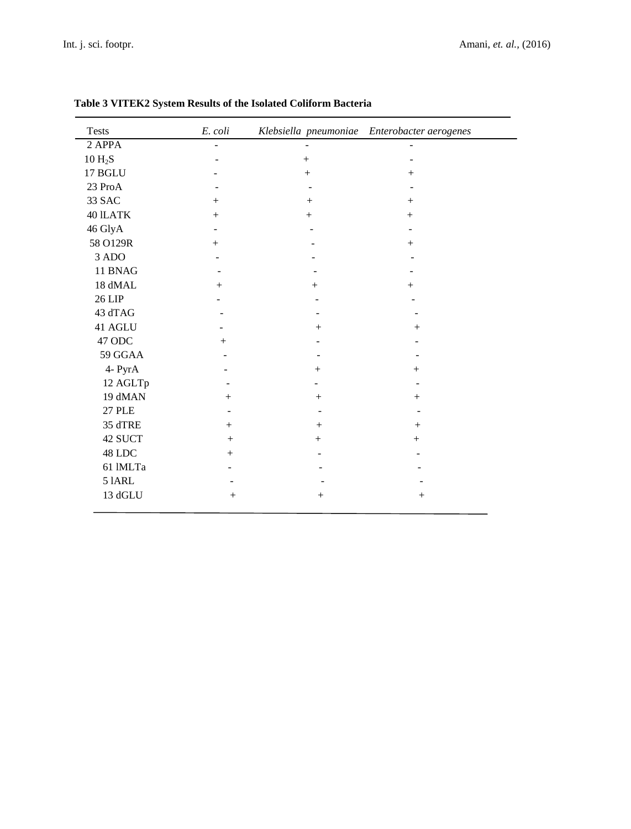| <b>Tests</b>    | E. coli        |        | Klebsiella pneumoniae Enterobacter aerogenes |
|-----------------|----------------|--------|----------------------------------------------|
| 2 APPA          |                |        |                                              |
| $10 H_2S$       |                | $+$    |                                              |
| 17 BGLU         |                | $+$    | $+$                                          |
| 23 ProA         |                |        |                                              |
| 33 SAC          |                | $^{+}$ | $+$                                          |
| <b>40 ILATK</b> | $+$            | $+$    | $+$                                          |
| 46 GlyA         |                |        |                                              |
| 58 O129R        | $+$            |        | $+$                                          |
| 3 ADO           |                |        |                                              |
| 11 BNAG         |                |        |                                              |
| 18 dMAL         | $+$            | $+$    | $^{+}$                                       |
| 26 LIP          |                |        |                                              |
| 43 dTAG         |                |        |                                              |
| 41 AGLU         |                | $^{+}$ | $^{+}$                                       |
| 47 ODC          | $^{+}$         |        |                                              |
| 59 GGAA         |                |        |                                              |
| 4- PyrA         |                | $^{+}$ | $\mathrm{+}$                                 |
| 12 AGLTp        |                |        |                                              |
| 19 dMAN         | $+$            | $+$    | $+$                                          |
| <b>27 PLE</b>   | $\overline{a}$ |        |                                              |
| 35 dTRE         | $+$            | $+$    | $+$                                          |
| 42 SUCT         | $^{+}$         | $^{+}$ | $^{+}$                                       |
| 48 LDC          | $+$            |        |                                              |
| 61 IMLTa        |                |        |                                              |
| <b>5 IARL</b>   |                |        |                                              |
| 13 dGLU         | $^{+}$         | $^{+}$ | $^{+}$                                       |

## **Table 3 VITEK2 System Results of the Isolated Coliform Bacteria**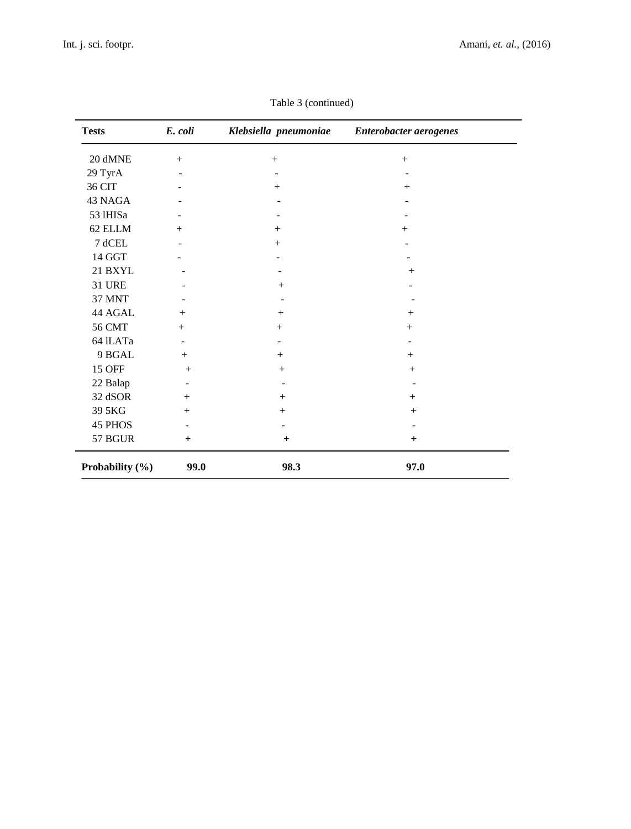| <b>Tests</b>    | E. coli                  | Klebsiella pneumoniae | Enterobacter aerogenes |
|-----------------|--------------------------|-----------------------|------------------------|
| 20 dMNE         | $+$                      | $+$                   | $+$                    |
| 29 TyrA         |                          |                       |                        |
| 36 CIT          |                          | $+$                   | $^{+}$                 |
| 43 NAGA         |                          |                       |                        |
| 53 1HISa        |                          |                       |                        |
| 62 ELLM         | $+$                      | $+$                   | $+$                    |
| 7 dCEL          |                          | $^{+}$                |                        |
| 14 GGT          |                          |                       |                        |
| 21 BXYL         |                          |                       | $+$                    |
| <b>31 URE</b>   |                          | $^{+}$                |                        |
| <b>37 MNT</b>   |                          |                       |                        |
| 44 AGAL         | $+$                      |                       | $^{+}$                 |
| <b>56 CMT</b>   | $+$                      | $+$                   | $^{+}$                 |
| 64 ILATa        | $\overline{\phantom{a}}$ |                       |                        |
| 9 BGAL          | $+$                      | $+$                   | $+$                    |
| <b>15 OFF</b>   | $^{+}$                   | $^{+}$                |                        |
| 22 Balap        |                          |                       |                        |
| 32 dSOR         | $+$                      | $+$                   | $+$                    |
| 39 5KG          | $+$                      | $+$                   | $+$                    |
| 45 PHOS         |                          |                       |                        |
| 57 BGUR         | $\ddot{}$                | $+$                   | $\ddot{}$              |
| Probability (%) | 99.0                     | 98.3                  | 97.0                   |

Table 3 (continued)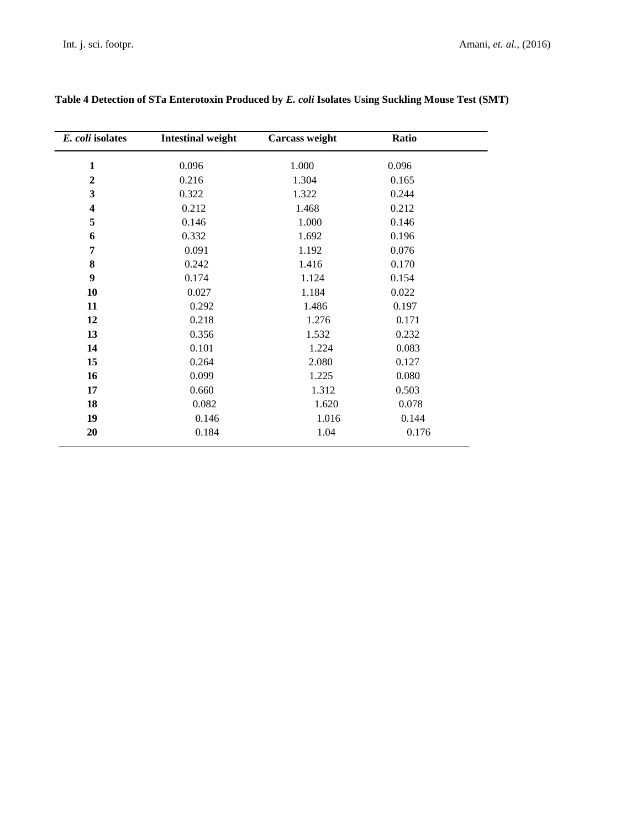| E. coli isolates        | <b>Intestinal weight</b> | Carcass weight | Ratio |  |
|-------------------------|--------------------------|----------------|-------|--|
| $\mathbf{1}$            | 0.096                    | 1.000          | 0.096 |  |
| $\boldsymbol{2}$        | 0.216                    | 1.304          | 0.165 |  |
| 3                       | 0.322                    | 1.322          | 0.244 |  |
| $\overline{\mathbf{4}}$ | 0.212                    | 1.468          | 0.212 |  |
| 5                       | 0.146                    | 1.000          | 0.146 |  |
| 6                       | 0.332                    | 1.692          | 0.196 |  |
| 7                       | 0.091                    | 1.192          | 0.076 |  |
| 8                       | 0.242                    | 1.416          | 0.170 |  |
| 9                       | 0.174                    | 1.124          | 0.154 |  |
| 10                      | 0.027                    | 1.184          | 0.022 |  |
| 11                      | 0.292                    | 1.486          | 0.197 |  |
| 12                      | 0.218                    | 1.276          | 0.171 |  |
| 13                      | 0.356                    | 1.532          | 0.232 |  |
| 14                      | 0.101                    | 1.224          | 0.083 |  |
| 15                      | 0.264                    | 2.080          | 0.127 |  |
| 16                      | 0.099                    | 1.225          | 0.080 |  |
| 17                      | 0.660                    | 1.312          | 0.503 |  |
| 18                      | 0.082                    | 1.620          | 0.078 |  |
| 19                      | 0.146                    | 1.016          | 0.144 |  |
| 20                      | 0.184                    | 1.04           | 0.176 |  |

## **Table 4 Detection of STa Enterotoxin Produced by** *E. coli* **Isolates Using Suckling Mouse Test (SMT)**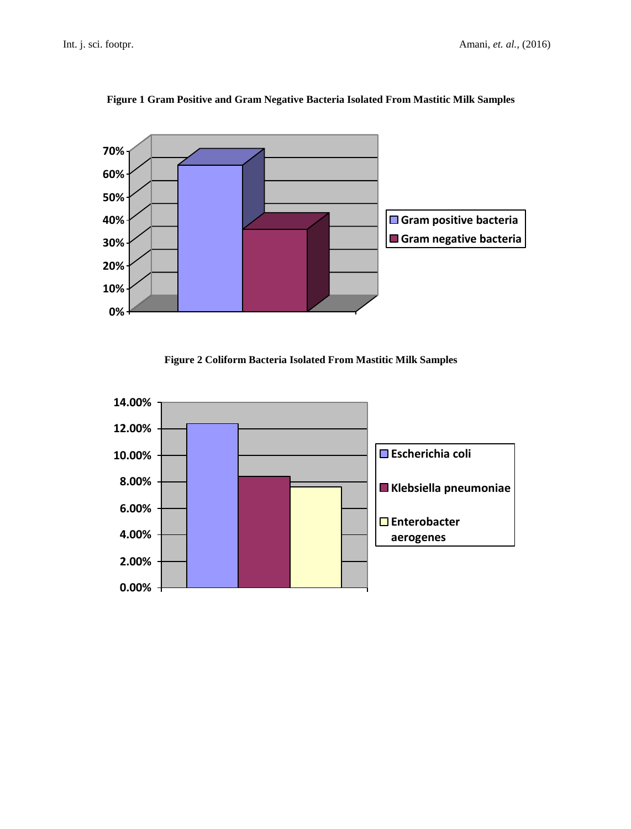

## **Figure 1 Gram Positive and Gram Negative Bacteria Isolated From Mastitic Milk Samples**



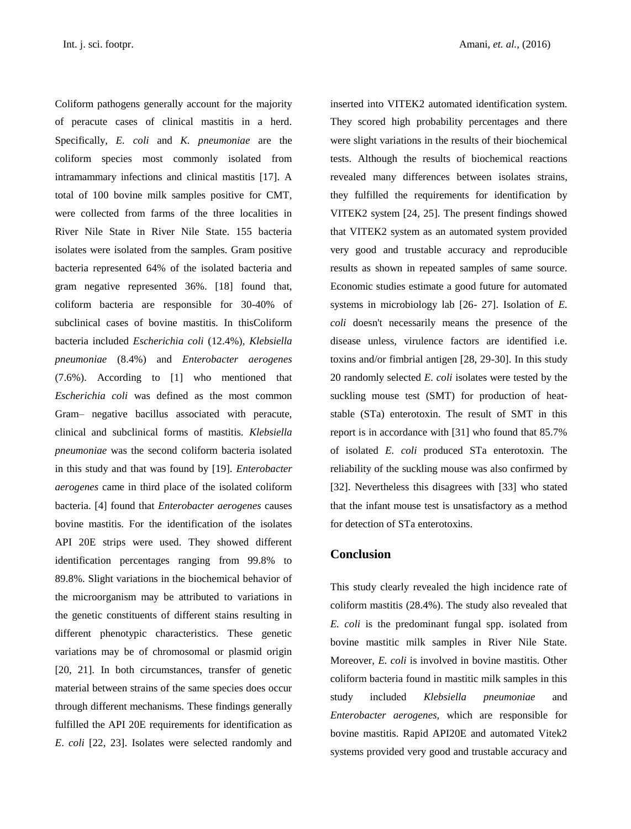inserted into VITEK2 automated identification system. They scored high probability percentages and there were slight variations in the results of their biochemical tests. Although the results of biochemical reactions revealed many differences between isolates strains, they fulfilled the requirements for identification by VITEK2 system [24, 25]. The present findings showed that VITEK2 system as an automated system provided very good and trustable accuracy and reproducible results as shown in repeated samples of same source. Economic studies estimate a good future for automated systems in microbiology lab [26- 27]. Isolation of *E. coli* doesn't necessarily means the presence of the disease unless, virulence factors are identified i.e. toxins and/or fimbrial antigen [28, 29-30]. In this study 20 randomly selected *E. coli* isolates were tested by the suckling mouse test (SMT) for production of heatstable (STa) enterotoxin. The result of SMT in this report is in accordance with [31] who found that 85.7% of isolated *E. coli* produced STa enterotoxin. The reliability of the suckling mouse was also confirmed by [32]. Nevertheless this disagrees with [33] who stated that the infant mouse test is unsatisfactory as a method for detection of STa enterotoxins.

## **Conclusion**

This study clearly revealed the high incidence rate of coliform mastitis (28.4%). The study also revealed that *E. coli* is the predominant fungal spp. isolated from bovine mastitic milk samples in River Nile State. Moreover, *E. coli* is involved in bovine mastitis. Other coliform bacteria found in mastitic milk samples in this study included *Klebsiella pneumoniae* and *Enterobacter aerogenes,* which are responsible for bovine mastitis. Rapid API20E and automated Vitek2 systems provided very good and trustable accuracy and

total of 100 bovine milk samples positive for CMT, were collected from farms of the three localities in River Nile State in River Nile State. 155 bacteria isolates were isolated from the samples. Gram positive bacteria represented 64% of the isolated bacteria and gram negative represented 36%. [18] found that, coliform bacteria are responsible for 30-40% of subclinical cases of bovine mastitis. In thisColiform bacteria included *Escherichia coli* (12.4%), *Klebsiella pneumoniae* (8.4%) and *Enterobacter aerogenes* (7.6%). According to [1] who mentioned that *Escherichia coli* was defined as the most common Gram– negative bacillus associated with peracute, clinical and subclinical forms of mastitis. *Klebsiella pneumoniae* was the second coliform bacteria isolated in this study and that was found by [19]. *Enterobacter aerogenes* came in third place of the isolated coliform bacteria. [4] found that *Enterobacter aerogenes* causes bovine mastitis. For the identification of the isolates API 20E strips were used. They showed different identification percentages ranging from 99.8% to 89.8%. Slight variations in the biochemical behavior of the microorganism may be attributed to variations in the genetic constituents of different stains resulting in different phenotypic characteristics. These genetic variations may be of chromosomal or plasmid origin [20, 21]. In both circumstances, transfer of genetic material between strains of the same species does occur through different mechanisms. These findings generally fulfilled the API 20E requirements for identification as *E*. *coli* [22, 23]. Isolates were selected randomly and

Coliform pathogens generally account for the majority of peracute cases of clinical mastitis in a herd. Specifically, *E. coli* and *K. pneumoniae* are the coliform species most commonly isolated from intramammary infections and clinical mastitis [17]. A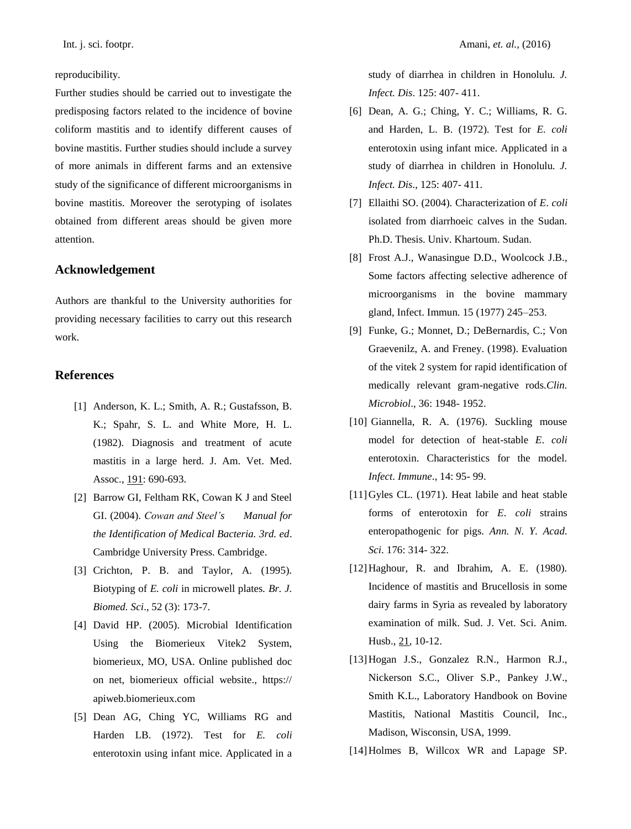### reproducibility.

Further studies should be carried out to investigate the predisposing factors related to the incidence of bovine coliform mastitis and to identify different causes of bovine mastitis. Further studies should include a survey of more animals in different farms and an extensive study of the significance of different microorganisms in bovine mastitis. Moreover the serotyping of isolates obtained from different areas should be given more attention.

## **Acknowledgement**

Authors are thankful to the University authorities for providing necessary facilities to carry out this research work.

## **References**

- [1] Anderson, K. L.; Smith, A. R.; Gustafsson, B. K.; Spahr, S. L. and White More, H. L. (1982). Diagnosis and treatment of acute mastitis in a large herd. J. Am. Vet. Med. Assoc., 191: 690-693.
- [2] Barrow GI, Feltham RK, Cowan K J and Steel GI. (2004). *Cowan and Steel's Manual for the Identification of Medical Bacteria. 3rd. ed*. Cambridge University Press. Cambridge.
- [3] Crichton, P. B. and Taylor, A. (1995). Biotyping of *E. coli* in microwell plates*. Br. J. Biomed. Sci*., 52 (3): 173-7.
- [4] David HP. (2005). Microbial Identification Using the Biomerieux Vitek2 System, biomerieux, MO, USA. Online published doc on net, biomerieux official website., https:// apiweb.biomerieux.com
- [5] Dean AG, Ching YC, Williams RG and Harden LB. (1972). Test for *E. coli*  enterotoxin using infant mice. Applicated in a

study of diarrhea in children in Honolulu*. J. Infect. Dis*. 125: 407- 411.

- [6] Dean, A. G.; Ching, Y. C.; Williams, R. G. and Harden, L. B. (1972). Test for *E. coli* enterotoxin using infant mice. Applicated in a study of diarrhea in children in Honolulu*. J. Infect. Dis*., 125: 407- 411.
- [7] Ellaithi SO. (2004). Characterization of *E*. *coli*  isolated from diarrhoeic calves in the Sudan. Ph.D. Thesis. Univ. Khartoum. Sudan.
- [8] Frost A.J., Wanasingue D.D., Woolcock J.B., Some factors affecting selective adherence of microorganisms in the bovine mammary gland, Infect. Immun. 15 (1977) 245–253.
- [9] Funke, G.; Monnet, D.; DeBernardis, C.; Von Graevenilz, A. and Freney. (1998). Evaluation of the vitek 2 system for rapid identification of medically relevant gram-negative rods.*Clin. Microbiol*., 36: 1948- 1952.
- [10] Giannella, R. A. (1976). Suckling mouse model for detection of heat-stable *E*. *coli* enterotoxin. Characteristics for the model. *Infect*. *Immune*., 14: 95- 99.
- [11] Gyles CL. (1971). Heat labile and heat stable forms of enterotoxin for *E*. *coli* strains enteropathogenic for pigs. *Ann. N. Y. Acad. Sci*. 176: 314- 322.
- [12]Haghour, R. and Ibrahim, A. E. (1980). Incidence of mastitis and Brucellosis in some dairy farms in Syria as revealed by laboratory examination of milk. Sud. J. Vet. Sci. Anim. Husb., 21, 10-12.
- [13]Hogan J.S., Gonzalez R.N., Harmon R.J., Nickerson S.C., Oliver S.P., Pankey J.W., Smith K.L., Laboratory Handbook on Bovine Mastitis, National Mastitis Council, Inc., Madison, Wisconsin, USA, 1999.
- [14]Holmes B, Willcox WR and Lapage SP.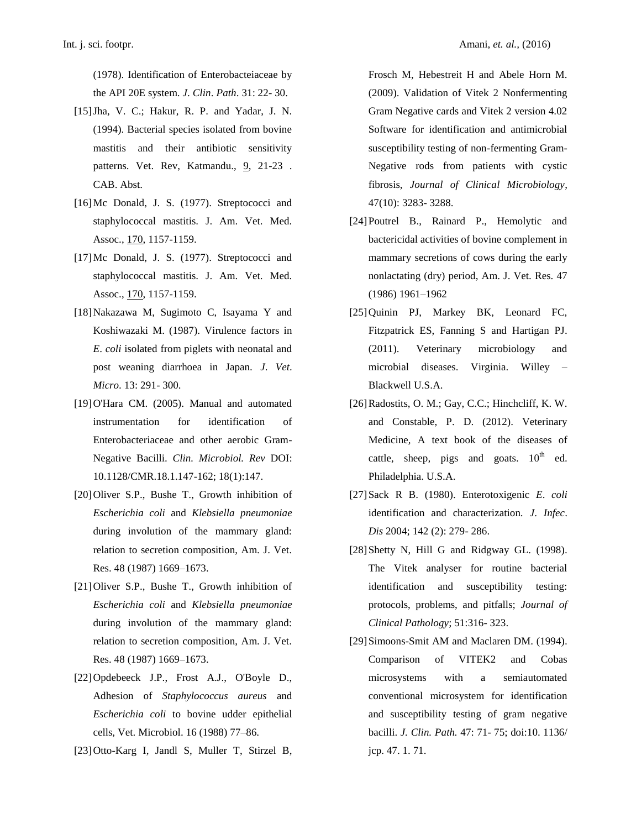(1978). Identification of Enterobacteiaceae by the API 20E system. *J*. *Clin*. *Path*. 31: 22- 30.

- [15]Jha, V. C.; Hakur, R. P. and Yadar, J. N. (1994). Bacterial species isolated from bovine mastitis and their antibiotic sensitivity patterns. Vet. Rev, Katmandu., 9, 21-23. CAB. Abst.
- [16] Mc Donald, J. S. (1977). Streptococci and staphylococcal mastitis. J. Am. Vet. Med. Assoc., 170, 1157-1159.
- [17]Mc Donald, J. S. (1977). Streptococci and staphylococcal mastitis. J. Am. Vet. Med. Assoc., 170, 1157-1159.
- [18]Nakazawa M, Sugimoto C, Isayama Y and Koshiwazaki M. (1987). Virulence factors in *E*. *coli* isolated from piglets with neonatal and post weaning diarrhoea in Japan. *J*. *Vet*. *Micro*. 13: 291- 300.
- [19]O'Hara CM. (2005). Manual and automated instrumentation for identification of Enterobacteriaceae and other aerobic Gram-Negative Bacilli. *Clin. Microbiol. Rev* DOI: 10.1128/CMR.18.1.147-162; 18(1):147.
- [20]Oliver S.P., Bushe T., Growth inhibition of *Escherichia coli* and *Klebsiella pneumoniae* during involution of the mammary gland: relation to secretion composition, Am. J. Vet. Res. 48 (1987) 1669–1673.
- [21]Oliver S.P., Bushe T., Growth inhibition of *Escherichia coli* and *Klebsiella pneumoniae* during involution of the mammary gland: relation to secretion composition, Am. J. Vet. Res. 48 (1987) 1669–1673.
- [22]Opdebeeck J.P., Frost A.J., O'Boyle D., Adhesion of *Staphylococcus aureus* and *Escherichia coli* to bovine udder epithelial cells, Vet. Microbiol. 16 (1988) 77–86.
- [23]Otto-Karg I, Jandl S, Muller T, Stirzel B,

Frosch M, Hebestreit H and Abele Horn M. (2009). Validation of Vitek 2 Nonfermenting Gram Negative cards and Vitek 2 version 4.02 Software for identification and antimicrobial susceptibility testing of non-fermenting Gram-Negative rods from patients with cystic fibrosis, *Journal of Clinical Microbiology*, 47(10): 3283- 3288.

- [24]Poutrel B., Rainard P., Hemolytic and bactericidal activities of bovine complement in mammary secretions of cows during the early nonlactating (dry) period, Am. J. Vet. Res. 47 (1986) 1961–1962
- [25]Quinin PJ, Markey BK, Leonard FC, Fitzpatrick ES, Fanning S and Hartigan PJ. (2011). Veterinary microbiology and microbial diseases. Virginia. Willey – Blackwell U.S.A.
- [26]Radostits, O. M.; Gay, C.C.; Hinchcliff, K. W. and Constable, P. D. (2012). Veterinary Medicine*,* A text book of the diseases of cattle, sheep, pigs and goats.  $10^{th}$  ed. Philadelphia. U.S.A.
- [27]Sack R B. (1980). Enterotoxigenic *E*. *coli*  identification and characterization. *J*. *Infec*. *Dis* 2004; 142 (2): 279- 286.
- [28] Shetty N, Hill G and Ridgway GL. (1998). The Vitek analyser for routine bacterial identification and susceptibility testing: protocols, problems, and pitfalls; *Journal of Clinical Pathology*; 51:316- 323.
- [29]Simoons-Smit AM and Maclaren DM. (1994). Comparison of VITEK2 and Cobas microsystems with a semiautomated conventional microsystem for identification and susceptibility testing of gram negative bacilli. *J. Clin. Path.* 47: 71- 75; doi:10. 1136/ jcp. 47. 1. 71.